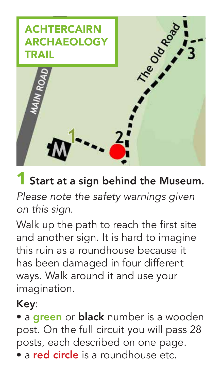

### **1 Start at a sign behind the Museum.**

*Please note the safety warnings given on this sign.*

Walk up the path to reach the first site and another sign. It is hard to imagine this ruin as a roundhouse because it has been damaged in four different ways. Walk around it and use your imagination.

#### Key:

• a green or black number is a wooden post. On the full circuit you will pass 28 posts, each described on one page.

• a red circle is a roundhouse etc.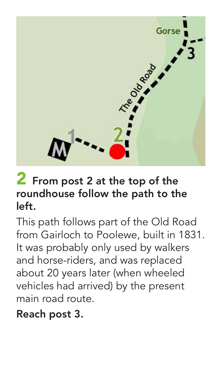

#### 2 From post 2 at the top of the roundhouse follow the path to the left.

This path follows part of the Old Road from Gairloch to Poolewe, built in 1831. It was probably only used by walkers and horse-riders, and was replaced about 20 years later (when wheeled vehicles had arrived) by the present main road route.

#### Reach post 3.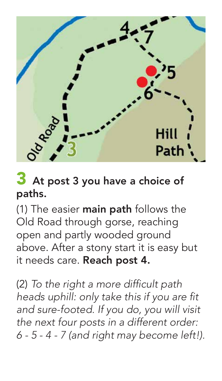

### 3 At post 3 you have a choice of paths.

(1) The easier **main path** follows the Old Road through gorse, reaching open and partly wooded ground above. After a stony start it is easy but it needs care. Reach post 4.

(2) *To the right a more difficult path heads uphill: only take this if you are fit and sure-footed. If you do, you will visit the next four posts in a different order: 6 - 5 - 4 - 7 (and right may become left!).*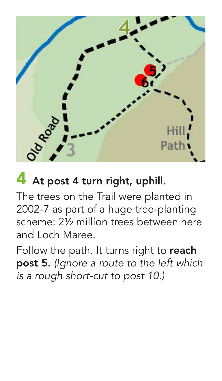

### 4 At post 4 turn right, uphill.

The trees on the Trail were planted in 2002-7 as part of a huge tree-planting scheme: 2½ million trees between here and Loch Maree.

Follow the path. It turns right to reach post 5. *(Ignore a route to the left which is a rough short-cut to post 10.)*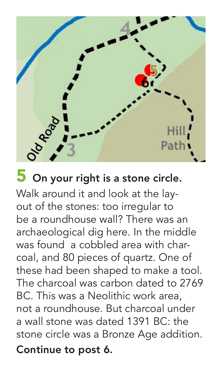

### **5** On your right is a stone circle.

Walk around it and look at the layout of the stones: too irregular to be a roundhouse wall? There was an archaeological dig here. In the middle was found a cobbled area with charcoal, and 80 pieces of quartz. One of these had been shaped to make a tool. The charcoal was carbon dated to 2769 BC. This was a Neolithic work area, not a roundhouse. But charcoal under a wall stone was dated 1391 BC: the stone circle was a Bronze Age addition.

Continue to post 6.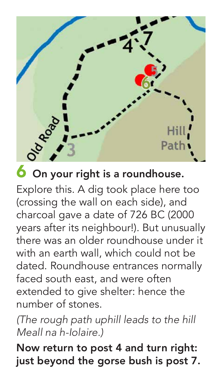

Explore this. A dig took place here too (crossing the wall on each side), and charcoal gave a date of 726 BC (2000 years after its neighbour!). But unusually there was an older roundhouse under it with an earth wall, which could not be dated. Roundhouse entrances normally faced south east, and were often extended to give shelter: hence the number of stones.

*(The rough path uphill leads to the hill Meall na h-Iolaire.)*

Now return to post 4 and turn right: just beyond the gorse bush is post 7.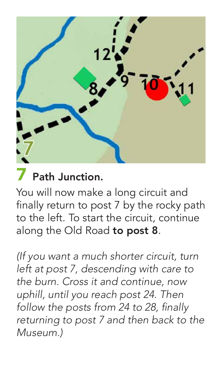

### Path Junction.

You will now make a long circuit and finally return to post 7 by the rocky path to the left. To start the circuit, continue along the Old Road to post 8.

*(If you want a much shorter circuit, turn left at post 7, descending with care to the burn. Cross it and continue, now uphill, until you reach post 24. Then follow the posts from 24 to 28, finally returning to post 7 and then back to the Museum.)*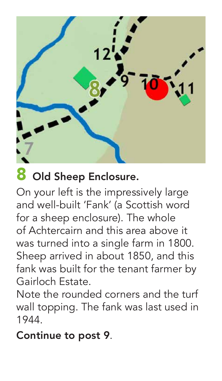

### 8 Old Sheep Enclosure.

On your left is the impressively large and well-built 'Fank' (a Scottish word for a sheep enclosure). The whole of Achtercairn and this area above it was turned into a single farm in 1800. Sheep arrived in about 1850, and this fank was built for the tenant farmer by Gairloch Estate.

Note the rounded corners and the turf wall topping. The fank was last used in 1944.

#### Continue to post 9.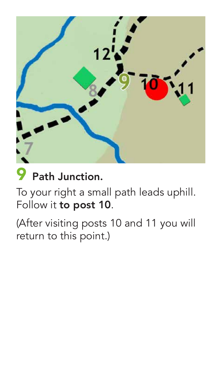

### Path Junction.

To your right a small path leads uphill. Follow it to post 10.

(After visiting posts 10 and 11 you will return to this point.)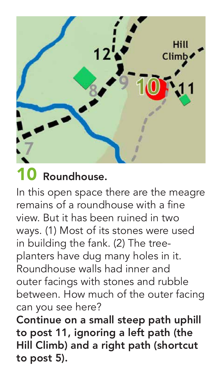

In this open space there are the meagre remains of a roundhouse with a fine view. But it has been ruined in two ways. (1) Most of its stones were used in building the fank. (2) The treeplanters have dug many holes in it. Roundhouse walls had inner and outer facings with stones and rubble between. How much of the outer facing can you see here? Continue on a small steep path uphill to post 11, ignoring a left path (the Hill Climb) and a right path (shortcut to post 5).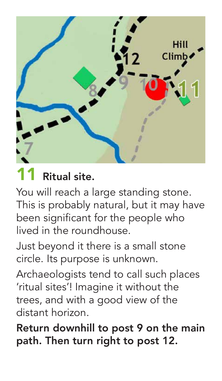

### Ritual site.

You will reach a large standing stone. This is probably natural, but it may have been significant for the people who lived in the roundhouse.

Just beyond it there is a small stone circle. Its purpose is unknown.

Archaeologists tend to call such places 'ritual sites'! Imagine it without the trees, and with a good view of the distant horizon.

Return downhill to post 9 on the main path. Then turn right to post 12.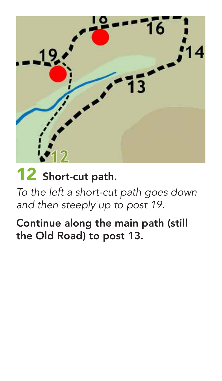

# 12 Short-cut path.

*To the left a short-cut path goes down and then steeply up to post 19.*

Continue along the main path (still the Old Road) to post 13.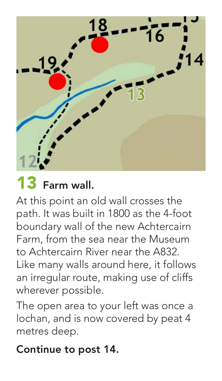

# 13 Farm wall.

At this point an old wall crosses the path. It was built in 1800 as the 4-foot boundary wall of the new Achtercairn Farm, from the sea near the Museum to Achtercairn River near the A832. Like many walls around here, it follows an irregular route, making use of cliffs wherever possible.

The open area to your left was once a lochan, and is now covered by peat 4 metres deep.

#### Continue to post 14.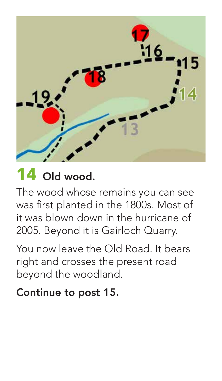

# 14 Old wood.

The wood whose remains you can see was first planted in the 1800s. Most of it was blown down in the hurricane of 2005. Beyond it is Gairloch Quarry.

You now leave the Old Road. It bears right and crosses the present road beyond the woodland.

#### Continue to post 15.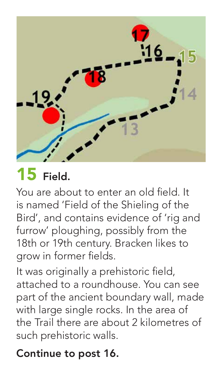

# 15 Field.

You are about to enter an old field. It is named 'Field of the Shieling of the Bird', and contains evidence of 'rig and furrow' ploughing, possibly from the 18th or 19th century. Bracken likes to grow in former fields.

It was originally a prehistoric field, attached to a roundhouse. You can see part of the ancient boundary wall, made with large single rocks. In the area of the Trail there are about 2 kilometres of such prehistoric walls.

#### Continue to post 16.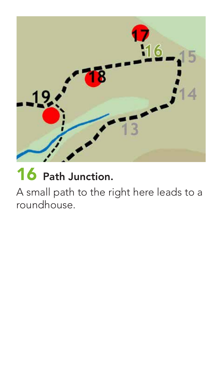

## 16 Path Junction.

A small path to the right here leads to a roundhouse.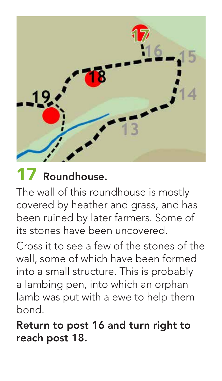

The wall of this roundhouse is mostly covered by heather and grass, and has been ruined by later farmers. Some of its stones have been uncovered.

Cross it to see a few of the stones of the wall, some of which have been formed into a small structure. This is probably a lambing pen, into which an orphan lamb was put with a ewe to help them bond.

Return to post 16 and turn right to reach post 18.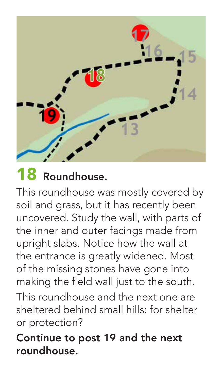

This roundhouse was mostly covered by soil and grass, but it has recently been uncovered. Study the wall, with parts of the inner and outer facings made from upright slabs. Notice how the wall at the entrance is greatly widened. Most of the missing stones have gone into making the field wall just to the south. This roundhouse and the next one are sheltered behind small hills: for shelter

or protection?

Continue to post 19 and the next roundhouse.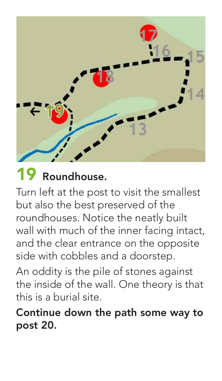

Turn left at the post to visit the smallest but also the best preserved of the roundhouses. Notice the neatly built wall with much of the inner facing intact, and the clear entrance on the opposite side with cobbles and a doorstep.

An oddity is the pile of stones against the inside of the wall. One theory is that this is a burial site.

Continue down the path some way to post 20.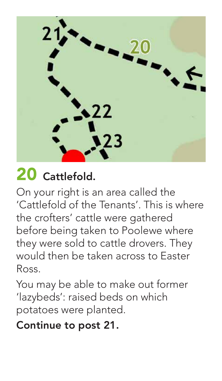23

# 20 Cattlefold.

On your right is an area called the 'Cattlefold of the Tenants'. This is where the crofters' cattle were gathered before being taken to Poolewe where they were sold to cattle drovers. They would then be taken across to Easter Ross.

You may be able to make out former 'lazybeds': raised beds on which potatoes were planted.

#### Continue to post 21.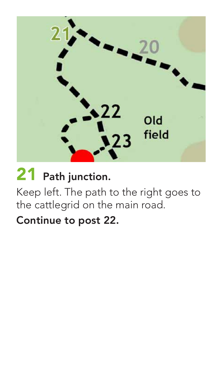

# 21 Path junction.

Keep left. The path to the right goes to the cattlegrid on the main road.

#### Continue to post 22.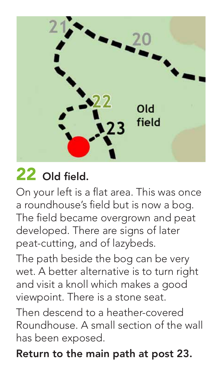

### 22 Old field.

On your left is a flat area. This was once a roundhouse's field but is now a bog. The field became overgrown and peat developed. There are signs of later peat-cutting, and of lazybeds.

The path beside the bog can be very wet. A better alternative is to turn right and visit a knoll which makes a good viewpoint. There is a stone seat.

Then descend to a heather-covered Roundhouse. A small section of the wall has been exposed.

Return to the main path at post 23.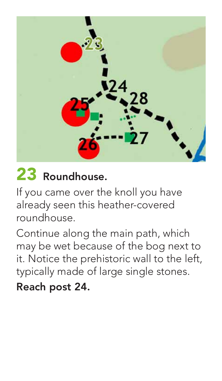

If you came over the knoll you have already seen this heather-covered roundhouse.

Continue along the main path, which may be wet because of the bog next to it. Notice the prehistoric wall to the left, typically made of large single stones. Reach post 24.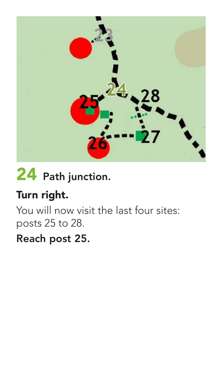

# 24 Path junction.

#### Turn right.

You will now visit the last four sites: posts 25 to 28.

#### Reach post 25.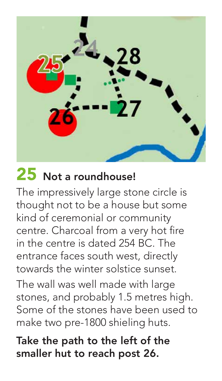

### 25 Not a roundhouse!

The impressively large stone circle is thought not to be a house but some kind of ceremonial or community centre. Charcoal from a very hot fire in the centre is dated 254 BC. The entrance faces south west, directly towards the winter solstice sunset. The wall was well made with large stones, and probably 1.5 metres high. Some of the stones have been used to make two pre-1800 shieling huts.

Take the path to the left of the smaller hut to reach post 26.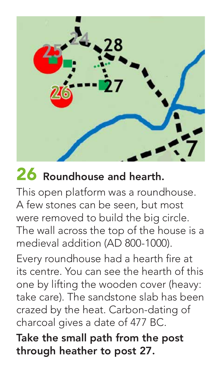

### 26 Roundhouse and hearth.

This open platform was a roundhouse. A few stones can be seen, but most were removed to build the big circle. The wall across the top of the house is a medieval addition (AD 800-1000).

Every roundhouse had a hearth fire at its centre. You can see the hearth of this one by lifting the wooden cover (heavy: take care). The sandstone slab has been crazed by the heat. Carbon-dating of charcoal gives a date of 477 BC.

Take the small path from the post through heather to post 27.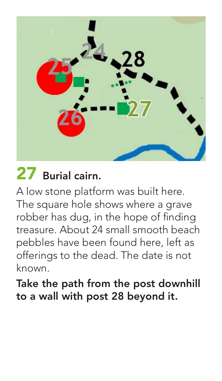

### 27 Burial cairn.

A low stone platform was built here. The square hole shows where a grave robber has dug, in the hope of finding treasure. About 24 small smooth beach pebbles have been found here, left as offerings to the dead. The date is not known.

Take the path from the post downhill to a wall with post 28 beyond it.